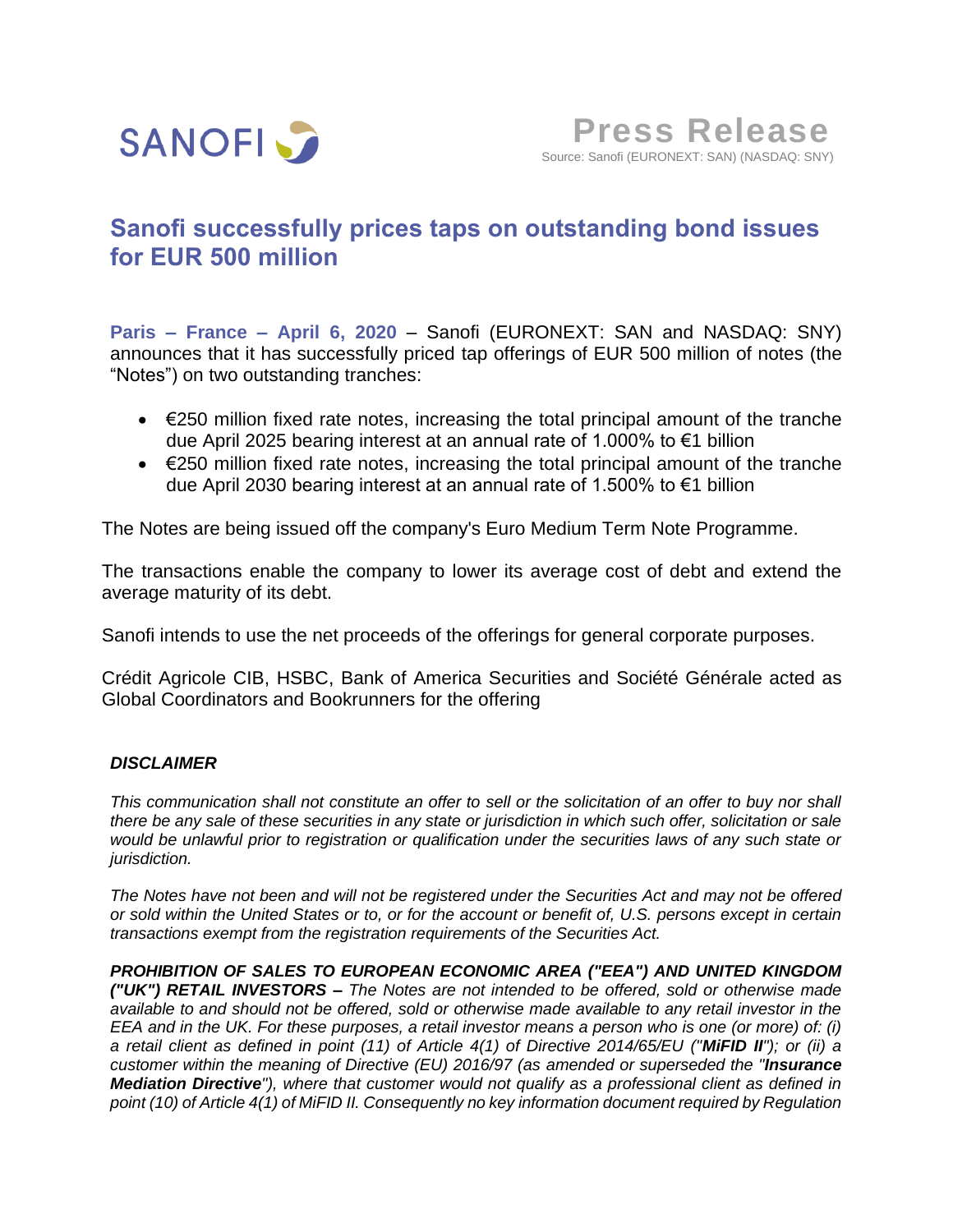

# **Sanofi successfully prices taps on outstanding bond issues for EUR 500 million**

**Paris – France – April 6, 2020** – Sanofi (EURONEXT: SAN and NASDAQ: SNY) announces that it has successfully priced tap offerings of EUR 500 million of notes (the "Notes") on two outstanding tranches:

- $\bullet$   $\in$  250 million fixed rate notes, increasing the total principal amount of the tranche due April 2025 bearing interest at an annual rate of 1.000% to €1 billion
- €250 million fixed rate notes, increasing the total principal amount of the tranche due April 2030 bearing interest at an annual rate of 1.500% to €1 billion

The Notes are being issued off the company's Euro Medium Term Note Programme.

The transactions enable the company to lower its average cost of debt and extend the average maturity of its debt.

Sanofi intends to use the net proceeds of the offerings for general corporate purposes.

Crédit Agricole CIB, HSBC, Bank of America Securities and Société Générale acted as Global Coordinators and Bookrunners for the offering

## *DISCLAIMER*

*This communication shall not constitute an offer to sell or the solicitation of an offer to buy nor shall there be any sale of these securities in any state or jurisdiction in which such offer, solicitation or sale would be unlawful prior to registration or qualification under the securities laws of any such state or jurisdiction.*

*The Notes have not been and will not be registered under the Securities Act and may not be offered or sold within the United States or to, or for the account or benefit of, U.S. persons except in certain transactions exempt from the registration requirements of the Securities Act.*

*PROHIBITION OF SALES TO EUROPEAN ECONOMIC AREA ("EEA") AND UNITED KINGDOM ("UK") RETAIL INVESTORS – The Notes are not intended to be offered, sold or otherwise made available to and should not be offered, sold or otherwise made available to any retail investor in the EEA and in the UK. For these purposes, a retail investor means a person who is one (or more) of: (i) a retail client as defined in point (11) of Article 4(1) of Directive 2014/65/EU ("MiFID II"); or (ii) a customer within the meaning of Directive (EU) 2016/97 (as amended or superseded the "Insurance Mediation Directive"), where that customer would not qualify as a professional client as defined in point (10) of Article 4(1) of MiFID II. Consequently no key information document required by Regulation*